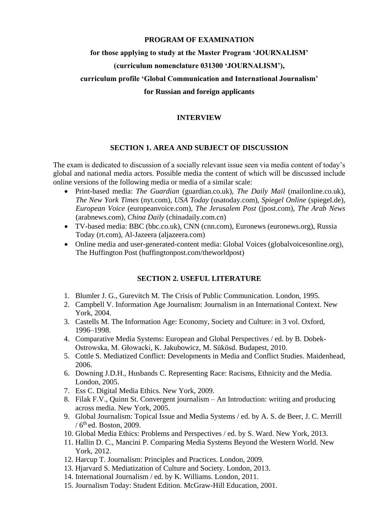### **PROGRAM OF EXAMINATION**

### **for those applying to study at the Master Program 'JOURNALISM'**

## **(curriculum nomenclature 031300 'JOURNALISM'),**

# **curriculum profile 'Global Communication and International Journalism'**

### **for Russian and foreign applicants**

### **INTERVIEW**

### **SECTION 1. AREA AND SUBJECT OF DISCUSSION**

The exam is dedicated to discussion of a socially relevant issue seen via media content of today's global and national media actors. Possible media the content of which will be discussed include online versions of the following media or media of a similar scale:

- Print-based media: *The Guardian* (guardian.co.uk), *The Daily Mail* (mailonline.co.uk), *The New York Times* (nyt.com), *USA Today* (usatoday.com), *Spiegel Online* (spiegel.de), *European Voice* (europeanvoice.com), *The Jerusalem Post* (jpost.com), *The Arab News* (arabnews.com), *China Daily* (chinadaily.com.cn)
- TV-based media: BBC (bbc.co.uk), CNN (cnn.com), Euronews (euronews.org), Russia Today (rt.com), Al-Jazeera (aljazeera.com)
- Online media and user-generated-content media: Global Voices (globalvoicesonline.org), The Huffington Post (huffingtonpost.com/theworldpost)

## **SECTION 2. USEFUL LITERATURE**

- 1. Blumler J. G., Gurevitch M. The Сrisis of Public Communication. London, 1995.
- 2. Campbell V. Information Age Journalism: Journalism in an International Context. New York, 2004.
- 3. Castells M. The Information Age: Economy, Society and Culture: in 3 vol. Oxford, 1996–1998.
- 4. Comparative Media Systems: European and Global Perspectives / ed. by B. Dobek-Ostrowska, M. Głowacki, K. Jakubowicz, M. Sükösd. Budapest, 2010.
- 5. Cottle S. Mediatized Conflict: Developments in Media and Conflict Studies. Maidenhead, 2006.
- 6. Downing J.D.H., Husbands C. Representing Race: Racisms, Ethnicity and the Media. London, 2005.
- 7. Ess C. Digital Media Ethics. New York, 2009.
- 8. Filak F.V., Quinn St. Convergent journalism An Introduction: writing and producing across media. New York, 2005.
- 9. Global Journalism: Topical Issue and Media Systems / ed. by A. S. de Beer, J. C. Merrill  $/$  6<sup>th</sup> ed. Boston, 2009.
- 10. Global Media Ethics: Problems and Perspectives / ed. by S. Ward. New York, 2013.
- 11. Hallin D. C., Mancini P. Comparing Media Systems Beyond the Western World. New York, 2012.
- 12. Harcup T. Journalism: Principles and Practices. London, 2009.
- 13. Hjarvard S. Mediatization of Culture and Society. London, 2013.
- 14. International Journalism / ed. by K. Williams. London, 2011.
- 15. Journalism Today: Student Edition. McGraw-Hill Education, 2001.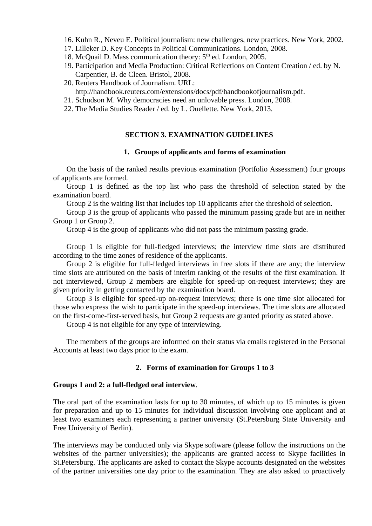- 16. Kuhn R., Neveu E. Political journalism: new challenges, new practices. New York, 2002.
- 17. Lilleker D. Key Concepts in Political Communications. London, 2008.
- 18. McQuail D. Mass communication theory:  $5<sup>th</sup>$  ed. London, 2005.
- 19. Participation and Media Production: Critical Reflections on Content Creation / ed. by N. Carpentier, B. de Cleen. Bristol, 2008.
- 20. Reuters Handbook of Journalism. URL: http://handbook.reuters.com/extensions/docs/pdf/handbookofjournalism.pdf.
- 21. Schudson M. Why democracies need an unlovable press. London, 2008.
- 22. The Media Studies Reader / ed. by L. Ouellette. New York, 2013.

### **SECTION 3. EXAMINATION GUIDELINES**

#### **1. Groups of applicants and forms of examination**

On the basis of the ranked results previous examination (Portfolio Assessment) four groups of applicants are formed.

Group 1 is defined as the top list who pass the threshold of selection stated by the examination board.

Group 2 is the waiting list that includes top 10 applicants after the threshold of selection.

Group 3 is the group of applicants who passed the minimum passing grade but are in neither Group 1 or Group 2.

Group 4 is the group of applicants who did not pass the minimum passing grade.

Group 1 is eligible for full-fledged interviews; the interview time slots are distributed according to the time zones of residence of the applicants.

Group 2 is eligible for full-fledged interviews in free slots if there are any; the interview time slots are attributed on the basis of interim ranking of the results of the first examination. If not interviewed, Group 2 members are eligible for speed-up on-request interviews; they are given priority in getting contacted by the examination board.

Group 3 is eligible for speed-up on-request interviews; there is one time slot allocated for those who express the wish to participate in the speed-up interviews. The time slots are allocated on the first-come-first-served basis, but Group 2 requests are granted priority as stated above.

Group 4 is not eligible for any type of interviewing.

The members of the groups are informed on their status via emails registered in the Personal Accounts at least two days prior to the exam.

### **2. Forms of examination for Groups 1 to 3**

#### **Groups 1 and 2: a full-fledged oral interview***.*

The oral part of the examination lasts for up to 30 minutes, of which up to 15 minutes is given for preparation and up to 15 minutes for individual discussion involving one applicant and at least two examiners each representing a partner university (St.Petersburg State University and Free University of Berlin).

The interviews may be conducted only via Skype software (please follow the instructions on the websites of the partner universities); the applicants are granted access to Skype facilities in St.Petersburg. The applicants are asked to contact the Skype accounts designated on the websites of the partner universities one day prior to the examination. They are also asked to proactively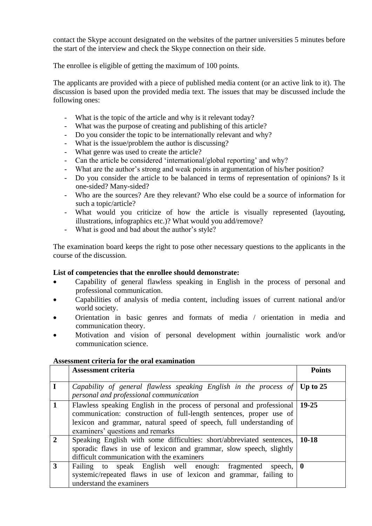contact the Skype account designated on the websites of the partner universities 5 minutes before the start of the interview and check the Skype connection on their side.

The enrollee is eligible of getting the maximum of 100 points.

The applicants are provided with a piece of published media content (or an active link to it). The discussion is based upon the provided media text. The issues that may be discussed include the following ones:

- What is the topic of the article and why is it relevant today?
- What was the purpose of creating and publishing of this article?
- Do you consider the topic to be internationally relevant and why?
- What is the issue/problem the author is discussing?
- What genre was used to create the article?
- Can the article be considered 'international/global reporting' and why?
- What are the author's strong and weak points in argumentation of his/her position?
- Do you consider the article to be balanced in terms of representation of opinions? Is it one-sided? Many-sided?
- Who are the sources? Are they relevant? Who else could be a source of information for such a topic/article?
- What would you criticize of how the article is visually represented (layouting, illustrations, infographics etc.)? What would you add/remove?
- What is good and bad about the author's style?

The examination board keeps the right to pose other necessary questions to the applicants in the course of the discussion.

## **List of competencies that the enrollee should demonstrate:**

- Capability of general flawless speaking in English in the process of personal and professional communication.
- Capabilities of analysis of media content, including issues of current national and/or world society.
- Orientation in basic genres and formats of media / orientation in media and communication theory.
- Motivation and vision of personal development within journalistic work and/or communication science.

## **Assessment criteria for the oral examination**

|               | <b>Assessment criteria</b>                                                                                                                                                                                                                              | <b>Points</b> |
|---------------|---------------------------------------------------------------------------------------------------------------------------------------------------------------------------------------------------------------------------------------------------------|---------------|
| $\bf{I}$      | Capability of general flawless speaking English in the process of $\vert$ Up to 25<br>personal and professional communication                                                                                                                           |               |
| $\mathbf{1}$  | Flawless speaking English in the process of personal and professional<br>communication: construction of full-length sentences, proper use of<br>lexicon and grammar, natural speed of speech, full understanding of<br>examiners' questions and remarks | $19-25$       |
| $\mathcal{D}$ | Speaking English with some difficulties: short/abbreviated sentences,<br>sporadic flaws in use of lexicon and grammar, slow speech, slightly<br>difficult communication with the examiners                                                              | $10-18$       |
| 3             | speak English well enough: fragmented<br>Failing to<br>speech, $\vert 0 \vert$<br>systemic/repeated flaws in use of lexicon and grammar, failing to<br>understand the examiners                                                                         |               |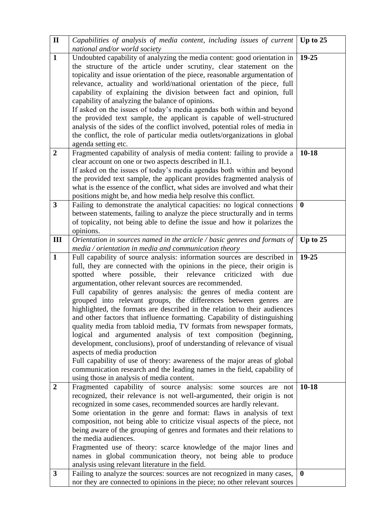| $\mathbf{I}$            | Capabilities of analysis of media content, including issues of current                                                                                    | Up to 25   |
|-------------------------|-----------------------------------------------------------------------------------------------------------------------------------------------------------|------------|
| $\mathbf{1}$            | national and/or world society<br>Undoubted capability of analyzing the media content: good orientation in                                                 | 19-25      |
|                         | the structure of the article under scrutiny, clear statement on the                                                                                       |            |
|                         | topicality and issue orientation of the piece, reasonable argumentation of                                                                                |            |
|                         | relevance, actuality and world/national orientation of the piece, full                                                                                    |            |
|                         | capability of explaining the division between fact and opinion, full                                                                                      |            |
|                         | capability of analyzing the balance of opinions.                                                                                                          |            |
|                         | If asked on the issues of today's media agendas both within and beyond                                                                                    |            |
|                         | the provided text sample, the applicant is capable of well-structured<br>analysis of the sides of the conflict involved, potential roles of media in      |            |
|                         | the conflict, the role of particular media outlets/organizations in global                                                                                |            |
|                         | agenda setting etc.                                                                                                                                       |            |
| $\overline{2}$          | Fragmented capability of analysis of media content: failing to provide a                                                                                  | $10-18$    |
|                         | clear account on one or two aspects described in II.1.                                                                                                    |            |
|                         | If asked on the issues of today's media agendas both within and beyond                                                                                    |            |
|                         | the provided text sample, the applicant provides fragmented analysis of                                                                                   |            |
|                         | what is the essence of the conflict, what sides are involved and what their<br>positions might be, and how media help resolve this conflict.              |            |
| $\overline{\mathbf{3}}$ | Failing to demonstrate the analytical capacities: no logical connections                                                                                  | $\bf{0}$   |
|                         | between statements, failing to analyze the piece structurally and in terms                                                                                |            |
|                         | of topicality, not being able to define the issue and how it polarizes the                                                                                |            |
|                         | opinions.                                                                                                                                                 |            |
| III                     | Orientation in sources named in the article / basic genres and formats of                                                                                 | Up to $25$ |
|                         | $median / orientation$ in media and communication theory                                                                                                  |            |
| $\mathbf{1}$            | Full capability of source analysis: information sources are described in                                                                                  | $19 - 25$  |
|                         | full, they are connected with the opinions in the piece, their origin is<br>where<br>possible,<br>their relevance<br>criticized<br>with<br>spotted<br>due |            |
|                         | argumentation, other relevant sources are recommended.                                                                                                    |            |
|                         | Full capability of genres analysis: the genres of media content are                                                                                       |            |
|                         | grouped into relevant groups, the differences between genres are                                                                                          |            |
|                         | highlighted, the formats are described in the relation to their audiences                                                                                 |            |
|                         | and other factors that influence formatting. Capability of distinguishing                                                                                 |            |
|                         | quality media from tabloid media, TV formats from newspaper formats,                                                                                      |            |
|                         | logical and argumented analysis of text composition (beginning,                                                                                           |            |
|                         | development, conclusions), proof of understanding of relevance of visual                                                                                  |            |
|                         | aspects of media production<br>Full capability of use of theory: awareness of the major areas of global                                                   |            |
|                         | communication research and the leading names in the field, capability of                                                                                  |            |
|                         | using those in analysis of media content.                                                                                                                 |            |
| $\overline{2}$          | Fragmented capability of source analysis: some sources are not                                                                                            | $10 - 18$  |
|                         | recognized, their relevance is not well-argumented, their origin is not                                                                                   |            |
|                         | recognized in some cases, recommended sources are hardly relevant.                                                                                        |            |
|                         | Some orientation in the genre and format: flaws in analysis of text                                                                                       |            |
|                         | composition, not being able to criticize visual aspects of the piece, not                                                                                 |            |
|                         | being aware of the grouping of genres and formates and their relations to<br>the media audiences.                                                         |            |
|                         | Fragmented use of theory: scarce knowledge of the major lines and                                                                                         |            |
|                         | names in global communication theory, not being able to produce                                                                                           |            |
|                         | analysis using relevant literature in the field.                                                                                                          |            |
| 3                       | Failing to analyze the sources: sources are not recognized in many cases,                                                                                 | $\bf{0}$   |
|                         | nor they are connected to opinions in the piece; no other relevant sources                                                                                |            |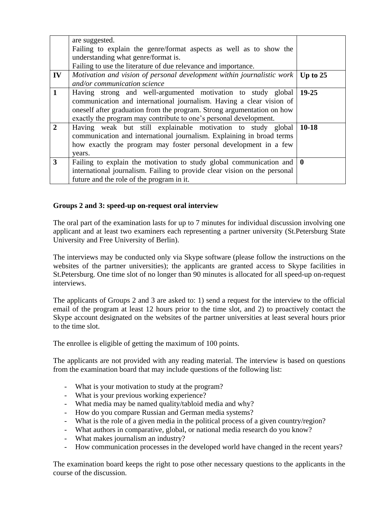|                         | are suggested.<br>Failing to explain the genre/format aspects as well as to show the<br>understanding what genre/format is.<br>Failing to use the literature of due relevance and importance.                                                                                       |              |
|-------------------------|-------------------------------------------------------------------------------------------------------------------------------------------------------------------------------------------------------------------------------------------------------------------------------------|--------------|
| $\mathbf{IV}$           | Motivation and vision of personal development within journalistic work<br>and/or communication science                                                                                                                                                                              | Up to $25$   |
| $\mathbf{1}$            | Having strong and well-argumented motivation to study global<br>communication and international journalism. Having a clear vision of<br>oneself after graduation from the program. Strong argumentation on how<br>exactly the program may contribute to one's personal development. | $19 - 25$    |
| $\overline{2}$          | Having weak but still explainable motivation to study global<br>communication and international journalism. Explaining in broad terms<br>how exactly the program may foster personal development in a few<br>years.                                                                 | $10-18$      |
| $\overline{\mathbf{3}}$ | Failing to explain the motivation to study global communication and<br>international journalism. Failing to provide clear vision on the personal<br>future and the role of the program in it.                                                                                       | $\mathbf{0}$ |

## **Groups 2 and 3: speed-up on-request oral interview**

The oral part of the examination lasts for up to 7 minutes for individual discussion involving one applicant and at least two examiners each representing a partner university (St.Petersburg State University and Free University of Berlin).

The interviews may be conducted only via Skype software (please follow the instructions on the websites of the partner universities); the applicants are granted access to Skype facilities in St.Petersburg. One time slot of no longer than 90 minutes is allocated for all speed-up on-request interviews.

The applicants of Groups 2 and 3 are asked to: 1) send a request for the interview to the official email of the program at least 12 hours prior to the time slot, and 2) to proactively contact the Skype account designated on the websites of the partner universities at least several hours prior to the time slot.

The enrollee is eligible of getting the maximum of 100 points.

The applicants are not provided with any reading material. The interview is based on questions from the examination board that may include questions of the following list:

- What is your motivation to study at the program?
- What is your previous working experience?
- What media may be named quality/tabloid media and why?
- How do you compare Russian and German media systems?
- What is the role of a given media in the political process of a given country/region?
- What authors in comparative, global, or national media research do you know?
- What makes journalism an industry?
- How communication processes in the developed world have changed in the recent years?

The examination board keeps the right to pose other necessary questions to the applicants in the course of the discussion.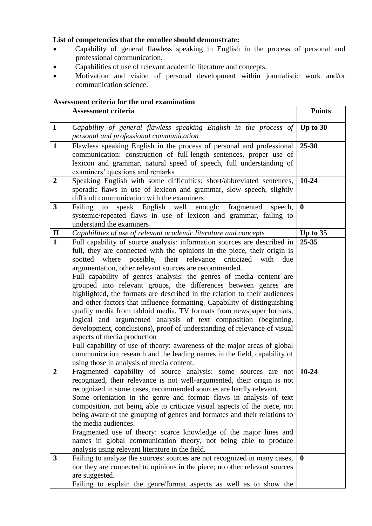# **List of competencies that the enrollee should demonstrate:**

- Capability of general flawless speaking in English in the process of personal and professional communication.
- Capabilities of use of relevant academic literature and concepts.
- Motivation and vision of personal development within journalistic work and/or communication science.

# **Assessment criteria for the oral examination**

|                  | <b>Assessment criteria</b>                                                                                                                                                                                                                                                                                                                                                                                                                                                                                                                                                                                                                                                                                                                                                                                                                                                                                                                                                                                                                                | <b>Points</b> |
|------------------|-----------------------------------------------------------------------------------------------------------------------------------------------------------------------------------------------------------------------------------------------------------------------------------------------------------------------------------------------------------------------------------------------------------------------------------------------------------------------------------------------------------------------------------------------------------------------------------------------------------------------------------------------------------------------------------------------------------------------------------------------------------------------------------------------------------------------------------------------------------------------------------------------------------------------------------------------------------------------------------------------------------------------------------------------------------|---------------|
| $\mathbf I$      | Capability of general flawless speaking English in the process of<br>personal and professional communication                                                                                                                                                                                                                                                                                                                                                                                                                                                                                                                                                                                                                                                                                                                                                                                                                                                                                                                                              | Up to $30$    |
| $\mathbf{1}$     | Flawless speaking English in the process of personal and professional<br>communication: construction of full-length sentences, proper use of<br>lexicon and grammar, natural speed of speech, full understanding of<br>examiners' questions and remarks                                                                                                                                                                                                                                                                                                                                                                                                                                                                                                                                                                                                                                                                                                                                                                                                   | $25 - 30$     |
| $\overline{2}$   | Speaking English with some difficulties: short/abbreviated sentences,<br>sporadic flaws in use of lexicon and grammar, slow speech, slightly<br>difficult communication with the examiners                                                                                                                                                                                                                                                                                                                                                                                                                                                                                                                                                                                                                                                                                                                                                                                                                                                                | $10 - 24$     |
| 3                | speak English well<br>enough:<br>Failing<br>fragmented<br>to<br>speech,<br>systemic/repeated flaws in use of lexicon and grammar, failing to<br>understand the examiners                                                                                                                                                                                                                                                                                                                                                                                                                                                                                                                                                                                                                                                                                                                                                                                                                                                                                  | $\bf{0}$      |
| $\mathbf{I}$     | Capabilities of use of relevant academic literature and concepts                                                                                                                                                                                                                                                                                                                                                                                                                                                                                                                                                                                                                                                                                                                                                                                                                                                                                                                                                                                          | Up to $35$    |
| $\mathbf{1}$     | Full capability of source analysis: information sources are described in<br>full, they are connected with the opinions in the piece, their origin is<br>spotted<br>where possible, their relevance<br>criticized<br>with<br>due<br>argumentation, other relevant sources are recommended.<br>Full capability of genres analysis: the genres of media content are<br>grouped into relevant groups, the differences between genres are<br>highlighted, the formats are described in the relation to their audiences<br>and other factors that influence formatting. Capability of distinguishing<br>quality media from tabloid media, TV formats from newspaper formats,<br>logical and argumented analysis of text composition (beginning,<br>development, conclusions), proof of understanding of relevance of visual<br>aspects of media production<br>Full capability of use of theory: awareness of the major areas of global<br>communication research and the leading names in the field, capability of<br>using those in analysis of media content. | $25 - 35$     |
| $\boldsymbol{2}$ | Fragmented capability of source analysis: some sources are not<br>recognized, their relevance is not well-argumented, their origin is not<br>recognized in some cases, recommended sources are hardly relevant.<br>Some orientation in the genre and format: flaws in analysis of text<br>composition, not being able to criticize visual aspects of the piece, not<br>being aware of the grouping of genres and formates and their relations to<br>the media audiences.<br>Fragmented use of theory: scarce knowledge of the major lines and<br>names in global communication theory, not being able to produce<br>analysis using relevant literature in the field.                                                                                                                                                                                                                                                                                                                                                                                      | $10 - 24$     |
| 3                | Failing to analyze the sources: sources are not recognized in many cases,<br>nor they are connected to opinions in the piece; no other relevant sources<br>are suggested.<br>Failing to explain the genre/format aspects as well as to show the                                                                                                                                                                                                                                                                                                                                                                                                                                                                                                                                                                                                                                                                                                                                                                                                           | $\mathbf{0}$  |